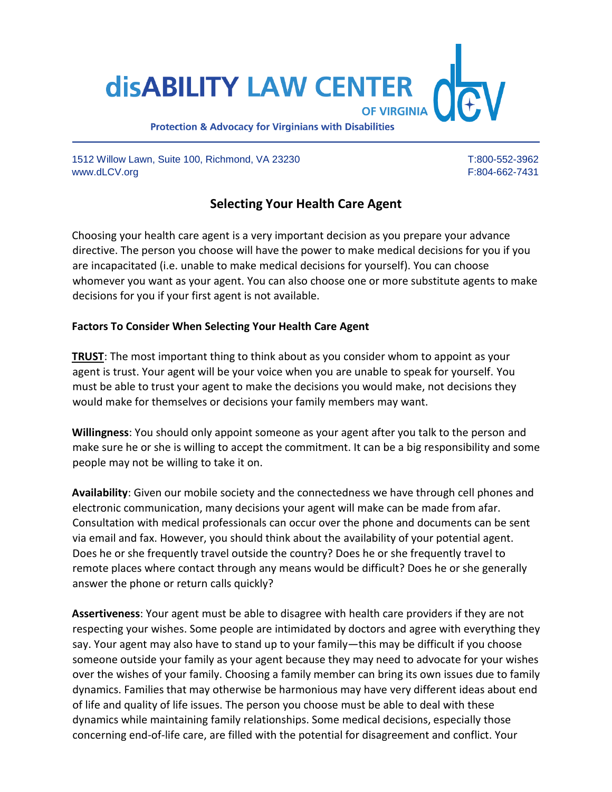**disABILITY LAW CENTER OF VIRGINIA** 

**Protection & Advocacy for Virginians with Disabilities** 

1512 Willow Lawn, Suite 100, Richmond, VA 23230 T:800-552-3962 www.dLCV.org F:804-662-7431

# **Selecting Your Health Care Agent**

Choosing your health care agent is a very important decision as you prepare your advance directive. The person you choose will have the power to make medical decisions for you if you are incapacitated (i.e. unable to make medical decisions for yourself). You can choose whomever you want as your agent. You can also choose one or more substitute agents to make decisions for you if your first agent is not available.

### **Factors To Consider When Selecting Your Health Care Agent**

**TRUST**: The most important thing to think about as you consider whom to appoint as your agent is trust. Your agent will be your voice when you are unable to speak for yourself. You must be able to trust your agent to make the decisions you would make, not decisions they would make for themselves or decisions your family members may want.

**Willingness**: You should only appoint someone as your agent after you talk to the person and make sure he or she is willing to accept the commitment. It can be a big responsibility and some people may not be willing to take it on.

**Availability**: Given our mobile society and the connectedness we have through cell phones and electronic communication, many decisions your agent will make can be made from afar. Consultation with medical professionals can occur over the phone and documents can be sent via email and fax. However, you should think about the availability of your potential agent. Does he or she frequently travel outside the country? Does he or she frequently travel to remote places where contact through any means would be difficult? Does he or she generally answer the phone or return calls quickly?

**Assertiveness**: Your agent must be able to disagree with health care providers if they are not respecting your wishes. Some people are intimidated by doctors and agree with everything they say. Your agent may also have to stand up to your family—this may be difficult if you choose someone outside your family as your agent because they may need to advocate for your wishes over the wishes of your family. Choosing a family member can bring its own issues due to family dynamics. Families that may otherwise be harmonious may have very different ideas about end of life and quality of life issues. The person you choose must be able to deal with these dynamics while maintaining family relationships. Some medical decisions, especially those concerning end-of-life care, are filled with the potential for disagreement and conflict. Your